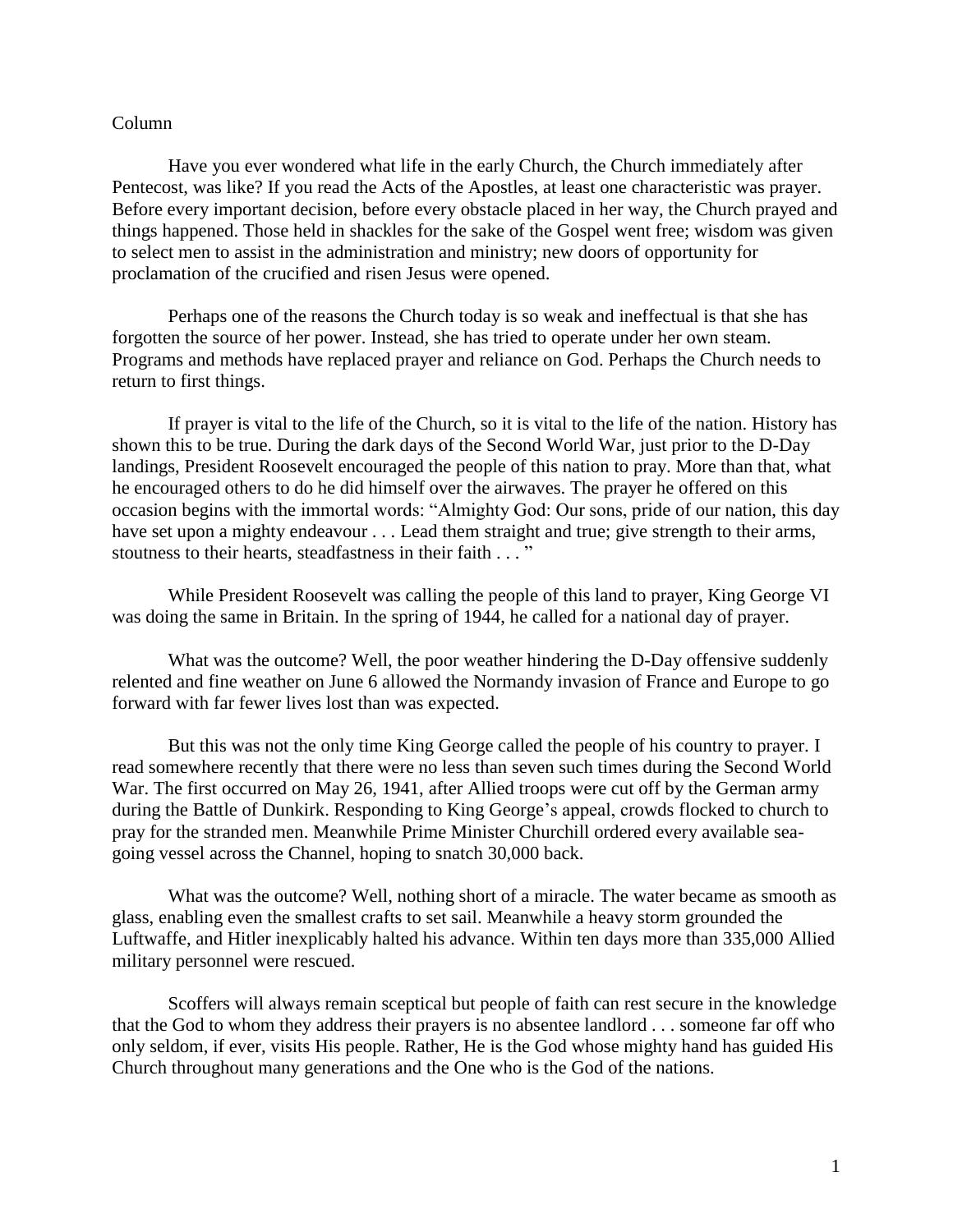## Column

Have you ever wondered what life in the early Church, the Church immediately after Pentecost, was like? If you read the Acts of the Apostles, at least one characteristic was prayer. Before every important decision, before every obstacle placed in her way, the Church prayed and things happened. Those held in shackles for the sake of the Gospel went free; wisdom was given to select men to assist in the administration and ministry; new doors of opportunity for proclamation of the crucified and risen Jesus were opened.

Perhaps one of the reasons the Church today is so weak and ineffectual is that she has forgotten the source of her power. Instead, she has tried to operate under her own steam. Programs and methods have replaced prayer and reliance on God. Perhaps the Church needs to return to first things.

If prayer is vital to the life of the Church, so it is vital to the life of the nation. History has shown this to be true. During the dark days of the Second World War, just prior to the D-Day landings, President Roosevelt encouraged the people of this nation to pray. More than that, what he encouraged others to do he did himself over the airwaves. The prayer he offered on this occasion begins with the immortal words: "Almighty God: Our sons, pride of our nation, this day have set upon a mighty endeavour . . . Lead them straight and true; give strength to their arms, stoutness to their hearts, steadfastness in their faith . . . "

While President Roosevelt was calling the people of this land to prayer, King George VI was doing the same in Britain. In the spring of 1944, he called for a national day of prayer.

What was the outcome? Well, the poor weather hindering the D-Day offensive suddenly relented and fine weather on June 6 allowed the Normandy invasion of France and Europe to go forward with far fewer lives lost than was expected.

But this was not the only time King George called the people of his country to prayer. I read somewhere recently that there were no less than seven such times during the Second World War. The first occurred on May 26, 1941, after Allied troops were cut off by the German army during the [Battle of Dunkirk.](http://en.wikipedia.org/wiki/Battle_of_Dunkirk) Responding to King George's appeal, crowds flocked to church to pray for the stranded men. Meanwhile Prime Minister Churchill ordered every available seagoing vessel across the Channel, hoping to snatch 30,000 back.

What was the outcome? Well, nothing short of a miracle. The water became as smooth as glass, enabling even the smallest crafts to set sail. Meanwhile a heavy storm grounded the Luftwaffe, and Hitler inexplicably halted his advance. Within ten days more than 335,000 Allied military personnel were rescued.

Scoffers will always remain sceptical but people of faith can rest secure in the knowledge that the God to whom they address their prayers is no absentee landlord . . . someone far off who only seldom, if ever, visits His people. Rather, He is the God whose mighty hand has guided His Church throughout many generations and the One who is the God of the nations.